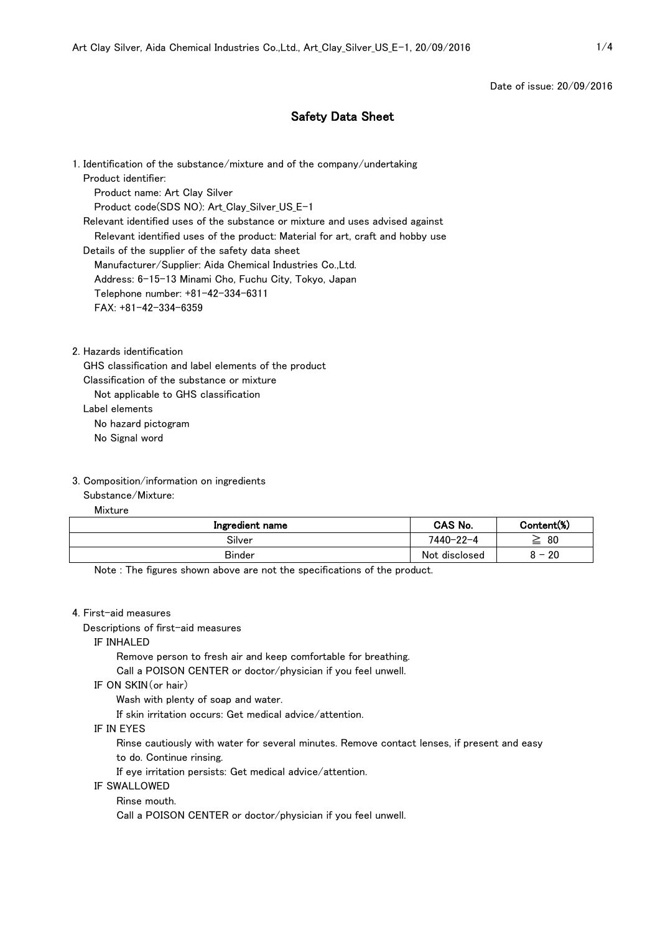Date of issue: 20/09/2016

# Safety Data Sheet

1. Identification of the substance/mixture and of the company/undertaking Product identifier: Product name: Art Clay Silver Product code(SDS NO): Art\_Clay\_Silver\_US\_E-1 Relevant identified uses of the substance or mixture and uses advised against Relevant identified uses of the product: Material for art, craft and hobby use Details of the supplier of the safety data sheet Manufacturer/Supplier: Aida Chemical Industries Co.,Ltd. Address: 6-15-13 Minami Cho, Fuchu City, Tokyo, Japan Telephone number: +81-42-334-6311 FAX: +81-42-334-6359

2. Hazards identification

GHS classification and label elements of the product

Classification of the substance or mixture

Not applicable to GHS classification

Label elements

No hazard pictogram

No Signal word

## 3. Composition/information on ingredients

Substance/Mixture:

Mixture

| Ingredient name | CAS No.       | Content(%)                     |
|-----------------|---------------|--------------------------------|
| Silver          | 7440-22-4     | 80<br>=                        |
| <b>Binder</b>   | Not disclosed | 20<br>$\overline{\phantom{0}}$ |

Note : The figures shown above are not the specifications of the product.

#### 4. First-aid measures

Descriptions of first-aid measures

#### IF INHALED

Remove person to fresh air and keep comfortable for breathing.

Call a POISON CENTER or doctor/physician if you feel unwell.

### IF ON SKIN(or hair)

Wash with plenty of soap and water.

If skin irritation occurs: Get medical advice/attention.

#### IF IN EYES

 Rinse cautiously with water for several minutes. Remove contact lenses, if present and easy to do. Continue rinsing.

If eye irritation persists: Get medical advice/attention.

IF SWALLOWED

Rinse mouth.

Call a POISON CENTER or doctor/physician if you feel unwell.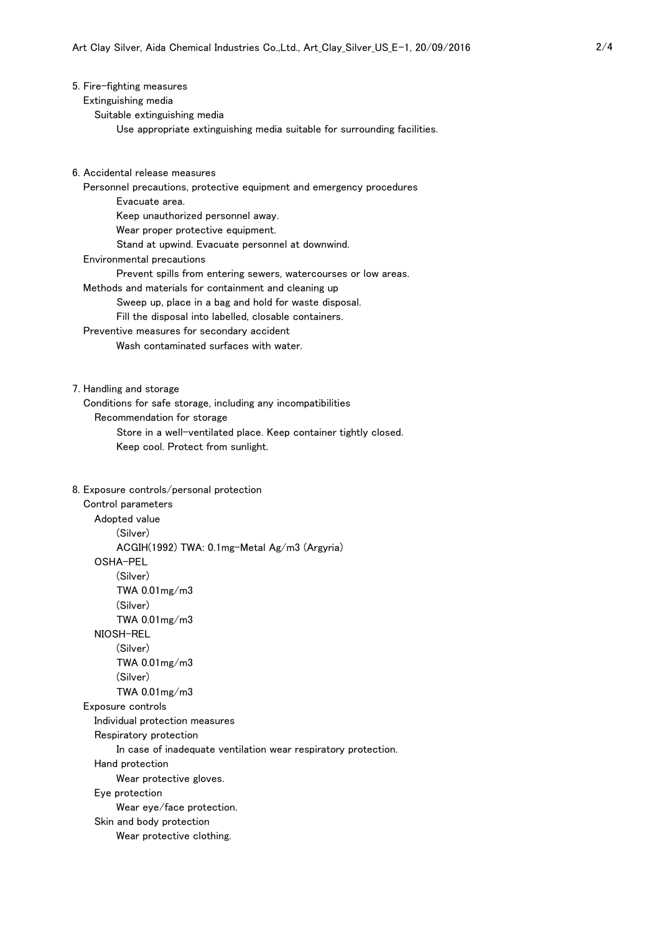|  |  |  | 5. Fire-fighting measures |
|--|--|--|---------------------------|
|--|--|--|---------------------------|

Extinguishing media

Suitable extinguishing media

- Use appropriate extinguishing media suitable for surrounding facilities.
- 6. Accidental release measures
	- Personnel precautions, protective equipment and emergency procedures
		- Evacuate area.
		- Keep unauthorized personnel away.
		- Wear proper protective equipment.
			- Stand at upwind. Evacuate personnel at downwind.
	- Environmental precautions
		- Prevent spills from entering sewers, watercourses or low areas.
	- Methods and materials for containment and cleaning up
		- Sweep up, place in a bag and hold for waste disposal.
		- Fill the disposal into labelled, closable containers.
	- Preventive measures for secondary accident
		- Wash contaminated surfaces with water.
- 7. Handling and storage
	- Conditions for safe storage, including any incompatibilities
		- Recommendation for storage
			- Store in a well-ventilated place. Keep container tightly closed.
			- Keep cool. Protect from sunlight.
- 8. Exposure controls/personal protection

 Control parameters Adopted value (Silver) ACGIH(1992) TWA: 0.1mg-Metal Ag/m3 (Argyria) OSHA-PEL (Silver) TWA 0.01mg/m3 (Silver) TWA 0.01mg/m3 NIOSH-REL (Silver) TWA 0.01mg/m3 (Silver) TWA 0.01mg/m3 Exposure controls Individual protection measures Respiratory protection In case of inadequate ventilation wear respiratory protection. Hand protection Wear protective gloves. Eye protection Wear eye/face protection. Skin and body protection Wear protective clothing.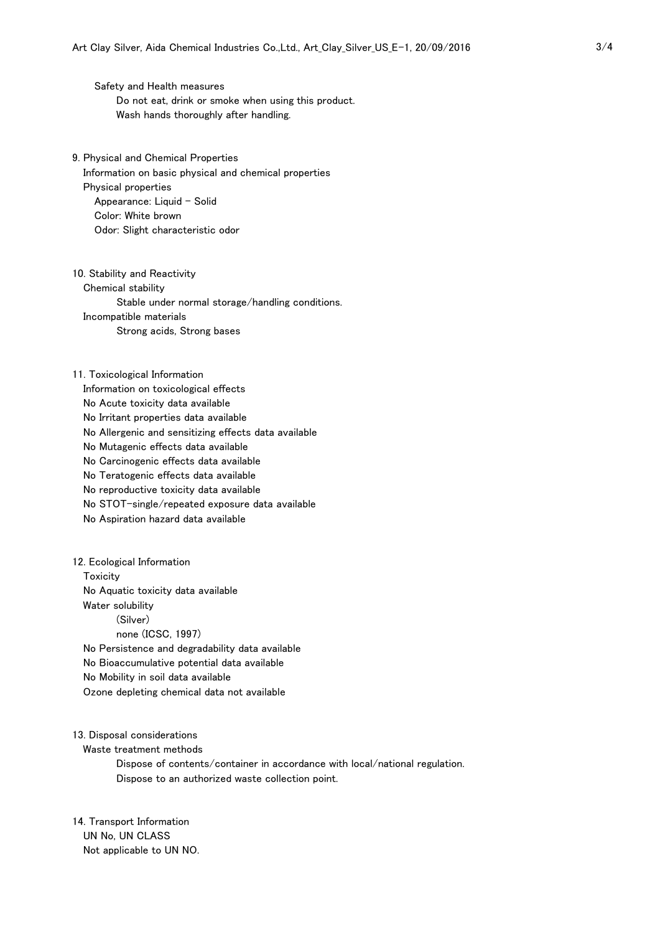Safety and Health measures Do not eat, drink or smoke when using this product. Wash hands thoroughly after handling.

- 9. Physical and Chemical Properties Information on basic physical and chemical properties Physical properties Appearance: Liquid  $-$  Solid Color: White brown Odor: Slight characteristic odor
- 10. Stability and Reactivity Chemical stability Stable under normal storage/handling conditions. Incompatible materials Strong acids, Strong bases
- 11. Toxicological Information Information on toxicological effects No Acute toxicity data available No Irritant properties data available No Allergenic and sensitizing effects data available No Mutagenic effects data available No Carcinogenic effects data available No Teratogenic effects data available No reproductive toxicity data available No STOT-single/repeated exposure data available No Aspiration hazard data available
- 12. Ecological Information **Toxicity**  No Aquatic toxicity data available Water solubility (Silver) none (ICSC, 1997) No Persistence and degradability data available No Bioaccumulative potential data available No Mobility in soil data available Ozone depleting chemical data not available
- 13. Disposal considerations
	- Waste treatment methods
		- Dispose of contents/container in accordance with local/national regulation. Dispose to an authorized waste collection point.
- 14. Transport Information UN No, UN CLASS Not applicable to UN NO.